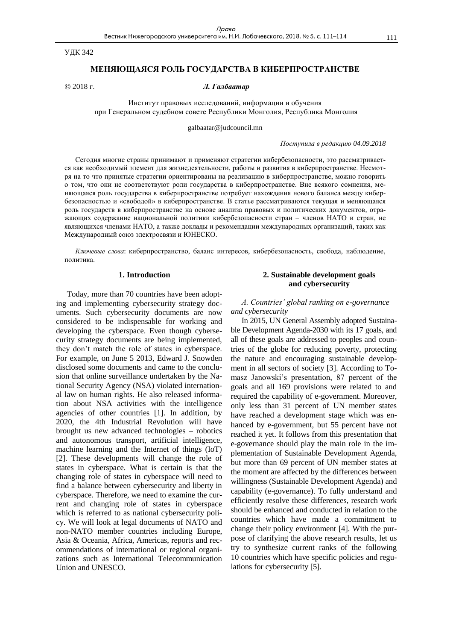УДК 342

## **МЕНЯЮЩАЯСЯ РОЛЬ ГОСУДАРСТВА В КИБЕРПРОСТРАНСТВЕ**

## 2018 г. *Л. Галбаатар*

Институт правовых исследований, информации и обучения при Генеральном судебном совете Республики Монголия, Республика Монголия

galbaatar@judcouncil.mn

*Поступила в редакцию 04.09.2018*

Сегодня многие страны принимают и применяют стратегии кибербезопасности, это рассматривается как необходимый элемент для жизнедеятельности, работы и развития в киберпространстве. Несмотря на то что принятые стратегии ориентированы на реализацию в киберпространстве, можно говорить о том, что они не соответствуют роли государства в киберпространстве. Вне всякого сомнения, меняющаяся роль государства в киберпространстве потребует нахождения нового баланса между кибербезопасностью и «свободой» в киберпространстве. В статье рассматриваются текущая и меняющаяся роль государств в киберпространстве на основе анализа правовых и политических документов, отражающих содержание национальной политики кибербезопасности стран – членов НАТО и стран, не являющихся членами НАТО, а также доклады и рекомендации международных организаций, таких как Международный союз электросвязи и ЮНЕСКО.

*Ключевые слова*: киберпространство, баланс интересов, кибербезопасность, свобода, наблюдение, политика.

#### **1. Introduction**

Today, more than 70 countries have been adopting and implementing cybersecurity strategy documents. Such cybersecurity documents are now considered to be indispensable for working and developing the cyberspace. Even though cybersecurity strategy documents are being implemented, they don't match the role of states in cyberspace. For example, on June 5 2013, Edward J. Snowden disclosed some documents and came to the conclusion that online surveillance undertaken by the National Security Agency (NSA) violated international law on human rights. He also released information about NSA activities with the intelligence agencies of other countries [1]. In addition, by 2020, the 4th Industrial Revolution will have brought us new advanced technologies – robotics and autonomous transport, artificial intelligence, machine learning and the Internet of things (IoT) [2]. These developments will change the role of states in cyberspace. What is certain is that the changing role of states in cyberspace will need to find a balance between cybersecurity and liberty in cyberspace. Therefore, we need to examine the current and changing role of states in cyberspace which is referred to as national cybersecurity policy. We will look at legal documents of NATO and non-NATO member countries including Europe, Asia & Oceania, Africa, Americas, reports and recommendations of international or regional organizations such as International Telecommunication Union and UNESCO.

## **2. Sustainable development goals and cybersecurity**

# *А. Countries' global ranking on e-governance and cybersecurity*

In 2015, UN General Assembly adopted Sustainable Development Agenda-2030 with its 17 goals, and all of these goals are addressed to peoples and countries of the globe for reducing poverty, protecting the nature and encouraging sustainable development in all sectors of society [3]. According to Tomasz Janowski's presentation, 87 percent of the goals and all 169 provisions were related to and required the capability of e-government. Moreover, only less than 31 percent of UN member states have reached a development stage which was enhanced by e-government, but 55 percent have not reached it yet. It follows from this presentation that e-governance should play the main role in the implementation of Sustainable Development Agenda, but more than 69 percent of UN member states at the moment are affected by the differences between willingness (Sustainable Development Agenda) and capability (e-governance). To fully understand and efficiently resolve these differences, research work should be enhanced and conducted in relation to the countries which have made a commitment to change their policy environment [4]. With the purpose of clarifying the above research results, let us try to synthesize current ranks of the following 10 countries which have specific policies and regulations for cybersecurity [5].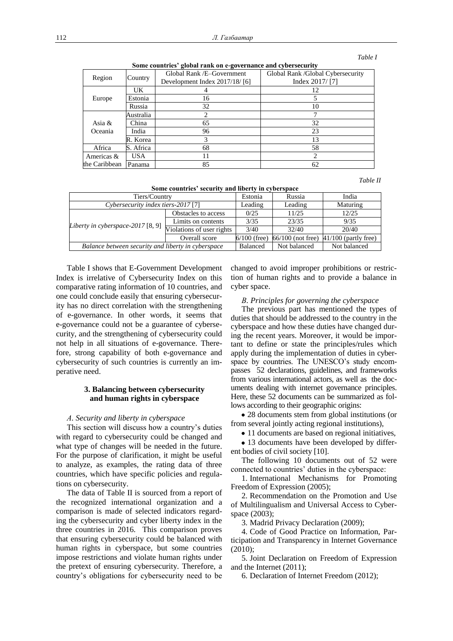### *Table I*

| Region        | Country   | Global Rank /E-Government     | Global Rank / Global Cybersecurity |
|---------------|-----------|-------------------------------|------------------------------------|
|               |           | Development Index 2017/18/[6] | Index $2017/$ [7]                  |
| Europe        | UK        |                               | 12                                 |
|               | Estonia   | 16                            |                                    |
|               | Russia    | 32                            | 10                                 |
|               | Australia |                               |                                    |
| Asia $&$      | China     | 65                            | 32                                 |
| Oceania       | India     | 96                            | 23                                 |
|               | R. Korea  | 3                             | 13                                 |
| Africa        | S. Africa | 68                            | 58                                 |
| Americas &    | USA       | 11                            |                                    |
| the Caribbean | Panama    | 85                            | 62                                 |

**Some countries' global rank on e-governance and cybersecurity**

 *Table II*

| SOME COUNTILES SECULITY AND HUCLEY IN CYDELSDACE   |                           |                |                     |                        |  |  |
|----------------------------------------------------|---------------------------|----------------|---------------------|------------------------|--|--|
| Tiers/Country                                      | Estonia                   | Russia         | India               |                        |  |  |
| Cybersecurity index tiers-2017 [7]                 | Leading                   | Leading        | Maturing            |                        |  |  |
|                                                    | Obstacles to access       | 0/25           | 11/25               | 12/25                  |  |  |
| Liberty in cyberspace-2017 $[8, 9]$                | Limits on contents        | 3/35           | 23/35               | 9/35                   |  |  |
|                                                    | Violations of user rights | 3/40           | 32/40               | 20/40                  |  |  |
|                                                    | Overall score             | $6/100$ (free) | $66/100$ (not free) | $41/100$ (partly free) |  |  |
| Balance between security and liberty in cyberspace | <b>Balanced</b>           | Not balanced   | Not balanced        |                        |  |  |

Table I shows that E-Government Development Index is irrelative of Cybersecurity Index on this comparative rating information of 10 countries, and one could conclude easily that ensuring cybersecurity has no direct correlation with the strengthening of e-governance. In other words, it seems that e-governance could not be a guarantee of cybersecurity, and the strengthening of cybersecurity could not help in all situations of e-governance. Therefore, strong capability of both e-governance and cybersecurity of such countries is currently an imperative need.

# **3. Balancing between cybersecurity and human rights in cyberspace**

#### *А. Security and liberty in cyberspace*

This section will discuss how a country's duties with regard to cybersecurity could be changed and what type of changes will be needed in the future. For the purpose of clarification, it might be useful to analyze, as examples, the rating data of three countries, which have specific policies and regulations on cybersecurity.

The data of Table II is sourced from a report of the recognized international organization and a comparison is made of selected indicators regarding the cybersecurity and cyber liberty index in the three countries in 2016. This comparison proves that ensuring cybersecurity could be balanced with human rights in cyberspace, but some countries impose restrictions and violate human rights under the pretext of ensuring cybersecurity. Therefore, a country's obligations for cybersecurity need to be

changed to avoid improper prohibitions or restriction of human rights and to provide a balance in cyber space.

#### *В. Principles for governing the cyberspace*

The previous part has mentioned the types of duties that should be addressed to the country in the cyberspace and how these duties have changed during the recent years. Moreover, it would be important to define or state the principles/rules which apply during the implementation of duties in cyberspace by countries. The UNESCO's study encompasses 52 declarations, guidelines, and frameworks from various international actors, as well as the documents dealing with internet governance principles. Here, these 52 documents can be summarized as follows according to their geographic origins:

28 documents stem from global institutions (or from several jointly acting regional institutions),

• 11 documents are based on regional initiatives,

• 13 documents have been developed by different bodies of civil society [10].

The following 10 documents out of 52 were connected to countries' duties in the cyberspace:

1. International Mechanisms for Promoting Freedom of Expression (2005);

2. Recommendation on the Promotion and Use of Multilingualism and Universal Access to Cyberspace (2003);

3. Madrid Privacy Declaration (2009);

4. Code of Good Practice on Information, Participation and Transparency in Internet Governance (2010);

5. Joint Declaration on Freedom of Expression and the Internet (2011);

6. Declaration of Internet Freedom (2012);

**Some countries' security and liberty in cyberspace**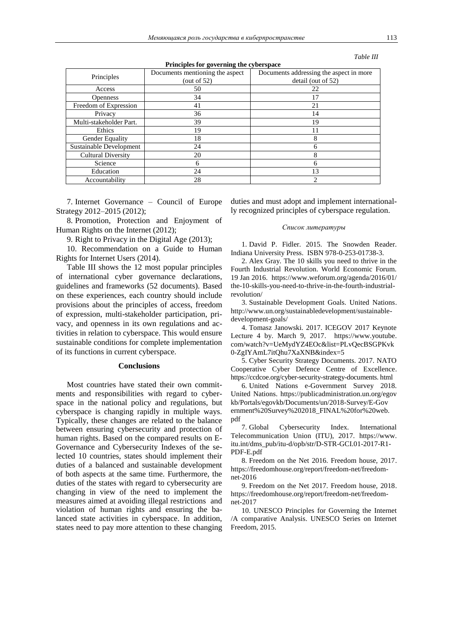|  | Table III<br>- - - - - - - - |
|--|------------------------------|
|--|------------------------------|

| $\overline{ }$<br>$\overline{ }$ |                                                   |                                                               |  |  |
|----------------------------------|---------------------------------------------------|---------------------------------------------------------------|--|--|
| Principles                       | Documents mentioning the aspect<br>(out of $52$ ) | Documents addressing the aspect in more<br>detail (out of 52) |  |  |
| Access                           | 50                                                | 22                                                            |  |  |
| <b>Openness</b>                  | 34                                                | 17                                                            |  |  |
| Freedom of Expression            | 41                                                | 21                                                            |  |  |
| Privacy                          | 36                                                | 14                                                            |  |  |
| Multi-stakeholder Part.          | 39                                                | 19                                                            |  |  |
| Ethics                           | 19                                                | 11                                                            |  |  |
| Gender Equality                  | 18                                                | 8                                                             |  |  |
| Sustainable Development          | 24                                                | 6                                                             |  |  |
| <b>Cultural Diversity</b>        | 20                                                | 8                                                             |  |  |
| Science                          | 6                                                 | 6                                                             |  |  |
| Education                        | 24                                                | 13                                                            |  |  |
| Accountability                   | 28                                                | ာ                                                             |  |  |

**Principles for governing the cyberspace**

7. Internet Governance – Council of Europe Strategy 2012–2015 (2012);

8. Promotion, Protection and Enjoyment of Human Rights on the Internet (2012);

9. Right to Privacy in the Digital Age (2013);

10. Recommendation on a Guide to Human Rights for Internet Users (2014).

Table III shows the 12 most popular principles of international cyber governance declarations, guidelines and frameworks (52 documents). Based on these experiences, each country should include provisions about the principles of access, freedom of expression, multi-stakeholder participation, privacy, and openness in its own regulations and activities in relation to cyberspace. This would ensure sustainable conditions for complete implementation of its functions in current cyberspace.

#### **Conclusions**

Most countries have stated their own commitments and responsibilities with regard to cyberspace in the national policy and regulations, but cyberspace is changing rapidly in multiple ways. Typically, these changes are related to the balance between ensuring cybersecurity and protection of human rights. Based on the compared results on E-Governance and Cybersecurity Indexes of the selected 10 countries, states should implement their duties of a balanced and sustainable development of both aspects at the same time. Furthermore, the duties of the states with regard to cybersecurity are changing in view of the need to implement the measures aimed at avoiding illegal restrictions and violation of human rights and ensuring the balanced state activities in cyberspace. In addition, states need to pay more attention to these changing duties and must adopt and implement internationally recognized principles of cyberspace regulation.

#### *Список литературы*

1. David P. Fidler. 2015. The Snowden Reader. Indiana University Press. ISBN 978-0-253-01738-3.

2. Alex Gray. The 10 skills you need to thrive in the Fourth Industrial Revolution. World Economic Forum. 19 Jan 2016. <https://www.weforum.org/agenda/2016/01/> the-10-skills-you-need-to-thrive-in-the-fourth-industrialrevolution/

3. Sustainable Development Goals. United Nations. http://www.un.org/sustainabledevelopment/sustainabledevelopment-goals/

4. Tomasz Janowski. 2017. ICEGOV 2017 Keynote Lecture 4 by. March 9, 2017. [https://www.youtube.](https://www.youtube/) com/watch?v=UeMydYZ4EOc&list=PLvQecBSGPKvk 0-ZgIYAmL7itQhu7XaXNB&index=5

5. Cyber Security Strategy Documents. 2017. NATO Cooperative Cyber Defence Centre of Excellence. [https://ccdcoe.org/cyber-security-strategy-documents.](https://ccdcoe.org/cyber-security-strategy-documents) html

6. United Nations e-Government Survey 2018. United Nations. https://publicadministration.un.org/egov kb/Portals/egovkb/Documents/un/2018-Survey/E-Gov ernment%20Survey%202018\_FINAL%20for%20web. pdf

7. Global Cybersecurity Index. International Telecommunication Union (ITU), 2017. https://www. itu.int/dms\_pub/itu-d/opb/str/D-STR-GCI.01-2017-R1- PDF-E.pdf

8. Freedom on the Net 2016. Freedom house, 2017. https://freedomhouse.org/report/freedom-net/freedomnet-2016

9. Freedom on the Net 2017. Freedom house, 2018. https://freedomhouse.org/report/freedom-net/freedomnet-2017

10. UNESCO Principles for Governing the Internet /A comparative Analysis. UNESCO Series on Internet Freedom, 2015.